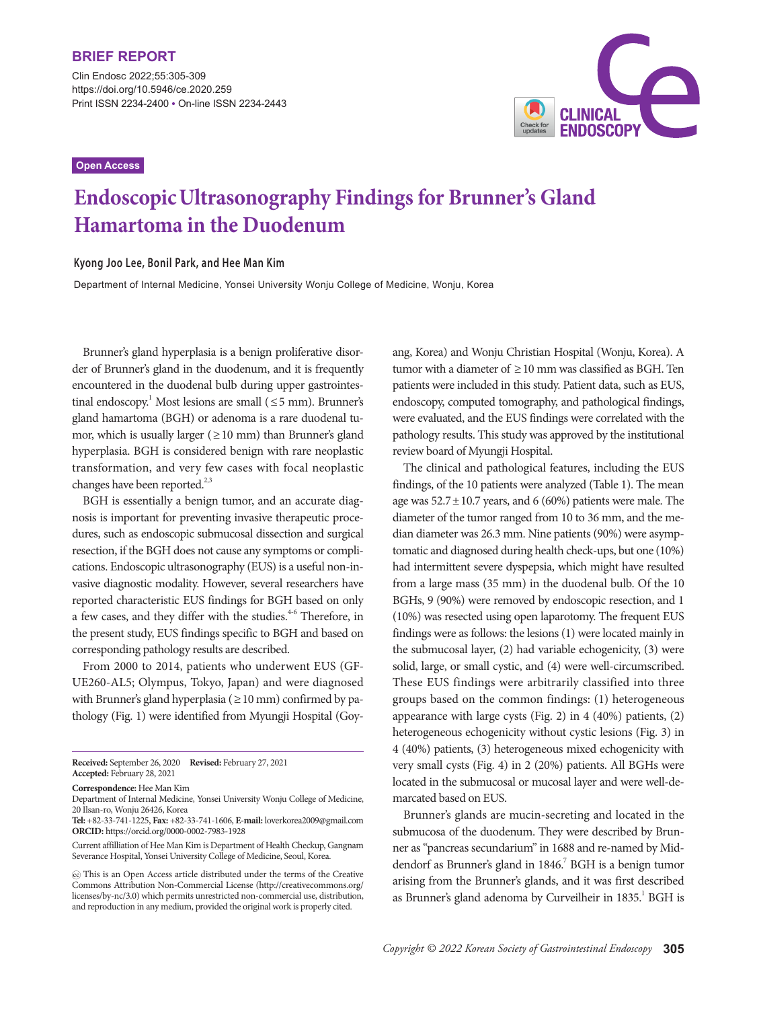Clin Endosc 2022;55:305-309 https://doi.org/10.5946/ce.2020.259 Print ISSN 2234-2400 • On-line ISSN 2234-2443

## **Open Access**



# **EndoscopicUltrasonography Findings for Brunner's Gland Hamartoma in the Duodenum**

## **Kyong Joo Lee, Bonil Park, and Hee Man Kim**

Department of Internal Medicine, Yonsei University Wonju College of Medicine, Wonju, Korea

Brunner's gland hyperplasia is a benign proliferative disorder of Brunner's gland in the duodenum, and it is frequently encountered in the duodenal bulb during upper gastrointestinal endoscopy.<sup>1</sup> Most lesions are small ( $\leq$ 5 mm). Brunner's gland hamartoma (BGH) or adenoma is a rare duodenal tumor, which is usually larger ( $\geq$  10 mm) than Brunner's gland hyperplasia. BGH is considered benign with rare neoplastic transformation, and very few cases with focal neoplastic changes have been reported. $2,3$ 

BGH is essentially a benign tumor, and an accurate diagnosis is important for preventing invasive therapeutic procedures, such as endoscopic submucosal dissection and surgical resection, if the BGH does not cause any symptoms or complications. Endoscopic ultrasonography (EUS) is a useful non-invasive diagnostic modality. However, several researchers have reported characteristic EUS findings for BGH based on only a few cases, and they differ with the studies.<sup>4-6</sup> Therefore, in the present study, EUS findings specific to BGH and based on corresponding pathology results are described.

From 2000 to 2014, patients who underwent EUS (GF-UE260-AL5; Olympus, Tokyo, Japan) and were diagnosed with Brunner's gland hyperplasia ( $\geq 10$  mm) confirmed by pathology (Fig. 1) were identified from Myungji Hospital (Goy-

**Tel:** +82-33-741-1225, **Fax:** +82-33-741-1606, **E-mail:** loverkorea2009@gmail.com **ORCID:** https://orcid.org/0000-0002-7983-1928

ang, Korea) and Wonju Christian Hospital (Wonju, Korea). A tumor with a diameter of ≥10 mm was classified as BGH. Ten patients were included in this study. Patient data, such as EUS, endoscopy, computed tomography, and pathological findings, were evaluated, and the EUS findings were correlated with the pathology results. This study was approved by the institutional review board of Myungji Hospital.

The clinical and pathological features, including the EUS findings, of the 10 patients were analyzed (Table 1). The mean age was  $52.7 \pm 10.7$  years, and 6 (60%) patients were male. The diameter of the tumor ranged from 10 to 36 mm, and the median diameter was 26.3 mm. Nine patients (90%) were asymptomatic and diagnosed during health check-ups, but one (10%) had intermittent severe dyspepsia, which might have resulted from a large mass (35 mm) in the duodenal bulb. Of the 10 BGHs, 9 (90%) were removed by endoscopic resection, and 1 (10%) was resected using open laparotomy. The frequent EUS findings were as follows: the lesions (1) were located mainly in the submucosal layer, (2) had variable echogenicity, (3) were solid, large, or small cystic, and (4) were well-circumscribed. These EUS findings were arbitrarily classified into three groups based on the common findings: (1) heterogeneous appearance with large cysts (Fig. 2) in 4 (40%) patients, (2) heterogeneous echogenicity without cystic lesions (Fig. 3) in 4 (40%) patients, (3) heterogeneous mixed echogenicity with very small cysts (Fig. 4) in 2 (20%) patients. All BGHs were located in the submucosal or mucosal layer and were well-demarcated based on EUS.

Brunner's glands are mucin-secreting and located in the submucosa of the duodenum. They were described by Brunner as "pancreas secundarium" in 1688 and re-named by Middendorf as Brunner's gland in 1846.<sup>7</sup> BGH is a benign tumor arising from the Brunner's glands, and it was first described as Brunner's gland adenoma by Curveilheir in 1835.<sup>1</sup> BGH is

**Received:** September 26, 2020 **Revised:** February 27, 2021 **Accepted:** February 28, 2021

**Correspondence:** Hee Man Kim

Department of Internal Medicine, Yonsei University Wonju College of Medicine, 20 Ilsan-ro, Wonju 26426, Korea

Current affilliation of Hee Man Kim is Department of Health Checkup, Gangnam Severance Hospital, Yonsei University College of Medicine, Seoul, Korea.

This is an Open Access article distributed under the terms of the Creative Commons Attribution Non-Commercial License (http://creativecommons.org/ licenses/by-nc/3.0) which permits unrestricted non-commercial use, distribution, and reproduction in any medium, provided the original work is properly cited.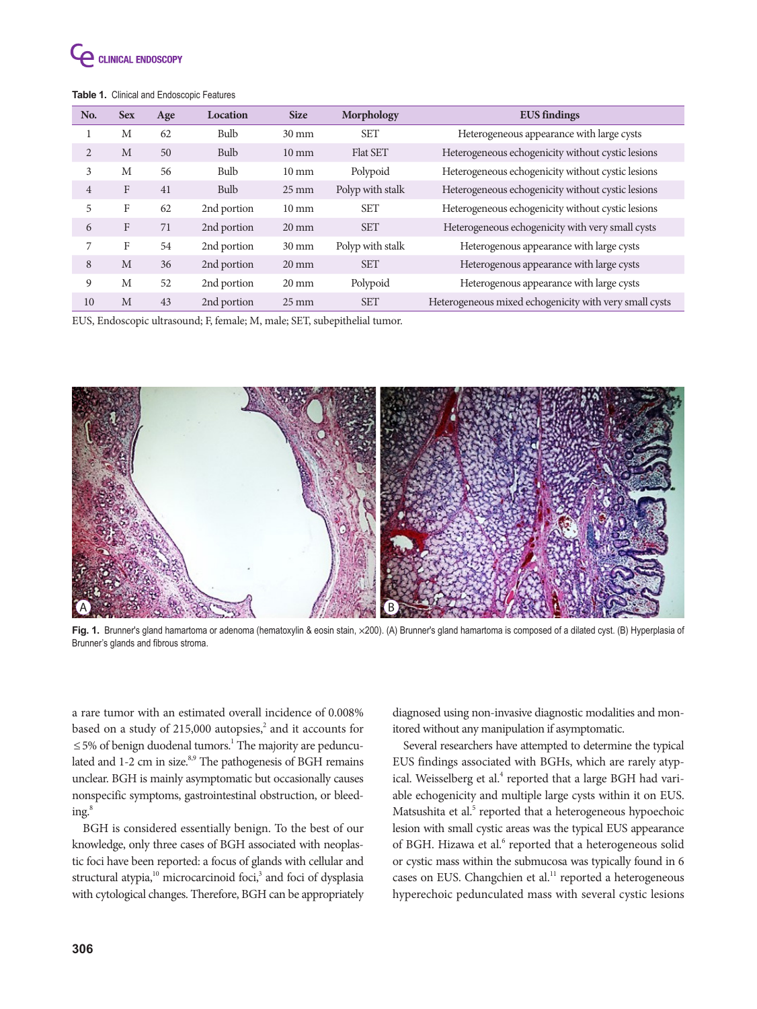

## **Table 1.** Clinical and Endoscopic Features

| No.            | <b>Sex</b>   | Age | Location    | <b>Size</b>        | Morphology       | <b>EUS</b> findings                                    |
|----------------|--------------|-----|-------------|--------------------|------------------|--------------------------------------------------------|
|                | M            | 62  | Bulb        | $30 \text{ mm}$    | <b>SET</b>       | Heterogeneous appearance with large cysts              |
| $\overline{c}$ | M            | 50  | Bulb        | $10 \text{ mm}$    | <b>Flat SET</b>  | Heterogeneous echogenicity without cystic lesions      |
| 3              | M            | 56  | Bulb        | $10 \text{ mm}$    | Polypoid         | Heterogeneous echogenicity without cystic lesions      |
| $\overline{4}$ | $\mathbf{F}$ | 41  | Bulb        | $25 \,\mathrm{mm}$ | Polyp with stalk | Heterogeneous echogenicity without cystic lesions      |
| 5              | F            | 62  | 2nd portion | $10 \text{ mm}$    | <b>SET</b>       | Heterogeneous echogenicity without cystic lesions      |
| 6              | $\mathbf{F}$ | 71  | 2nd portion | $20 \text{ mm}$    | <b>SET</b>       | Heterogeneous echogenicity with very small cysts       |
| 7              | F            | 54  | 2nd portion | $30 \text{ mm}$    | Polyp with stalk | Heterogenous appearance with large cysts               |
| 8              | M            | 36  | 2nd portion | $20 \text{ mm}$    | <b>SET</b>       | Heterogenous appearance with large cysts               |
| 9              | M            | 52  | 2nd portion | $20 \text{ mm}$    | Polypoid         | Heterogenous appearance with large cysts               |
| 10             | M            | 43  | 2nd portion | $25 \text{ mm}$    | <b>SET</b>       | Heterogeneous mixed echogenicity with very small cysts |

EUS, Endoscopic ultrasound; F, female; M, male; SET, subepithelial tumor.



Fig. 1. Brunner's gland hamartoma or adenoma (hematoxylin & eosin stain, ×200). (A) Brunner's gland hamartoma is composed of a dilated cyst. (B) Hyperplasia of Brunner's glands and fibrous stroma.

a rare tumor with an estimated overall incidence of 0.008% based on a study of 215,000 autopsies,<sup>2</sup> and it accounts for ≤5% of benign duodenal tumors.<sup>1</sup> The majority are pedunculated and 1-2 cm in size.<sup>8,9</sup> The pathogenesis of BGH remains unclear. BGH is mainly asymptomatic but occasionally causes nonspecific symptoms, gastrointestinal obstruction, or bleed $ing.<sup>8</sup>$ 

BGH is considered essentially benign. To the best of our knowledge, only three cases of BGH associated with neoplastic foci have been reported: a focus of glands with cellular and structural atypia,<sup>10</sup> microcarcinoid foci,<sup>3</sup> and foci of dysplasia with cytological changes. Therefore, BGH can be appropriately

diagnosed using non-invasive diagnostic modalities and monitored without any manipulation if asymptomatic.

Several researchers have attempted to determine the typical EUS findings associated with BGHs, which are rarely atypical. Weisselberg et al.<sup>4</sup> reported that a large BGH had variable echogenicity and multiple large cysts within it on EUS. Matsushita et al.<sup>5</sup> reported that a heterogeneous hypoechoic lesion with small cystic areas was the typical EUS appearance of BGH. Hizawa et al.<sup>6</sup> reported that a heterogeneous solid or cystic mass within the submucosa was typically found in 6 cases on EUS. Changchien et al.<sup>11</sup> reported a heterogeneous hyperechoic pedunculated mass with several cystic lesions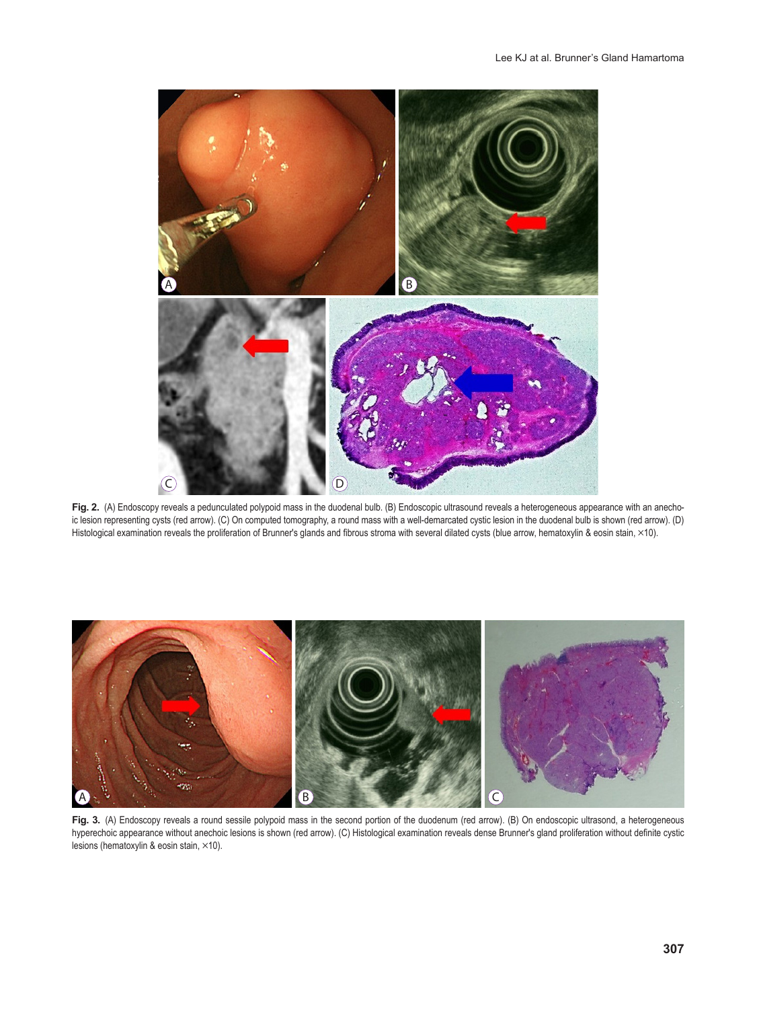

Fig. 2. (A) Endoscopy reveals a pedunculated polypoid mass in the duodenal bulb. (B) Endoscopic ultrasound reveals a heterogeneous appearance with an anechoic lesion representing cysts (red arrow). (C) On computed tomography, a round mass with a well-demarcated cystic lesion in the duodenal bulb is shown (red arrow). (D) Histological examination reveals the proliferation of Brunner's glands and fibrous stroma with several dilated cysts (blue arrow, hematoxylin & eosin stain, ×10).



Fig. 3. (A) Endoscopy reveals a round sessile polypoid mass in the second portion of the duodenum (red arrow). (B) On endoscopic ultrasond, a heterogeneous hyperechoic appearance without anechoic lesions is shown (red arrow). (C) Histological examination reveals dense Brunner's gland proliferation without definite cystic lesions (hematoxylin & eosin stain,  $\times$ 10).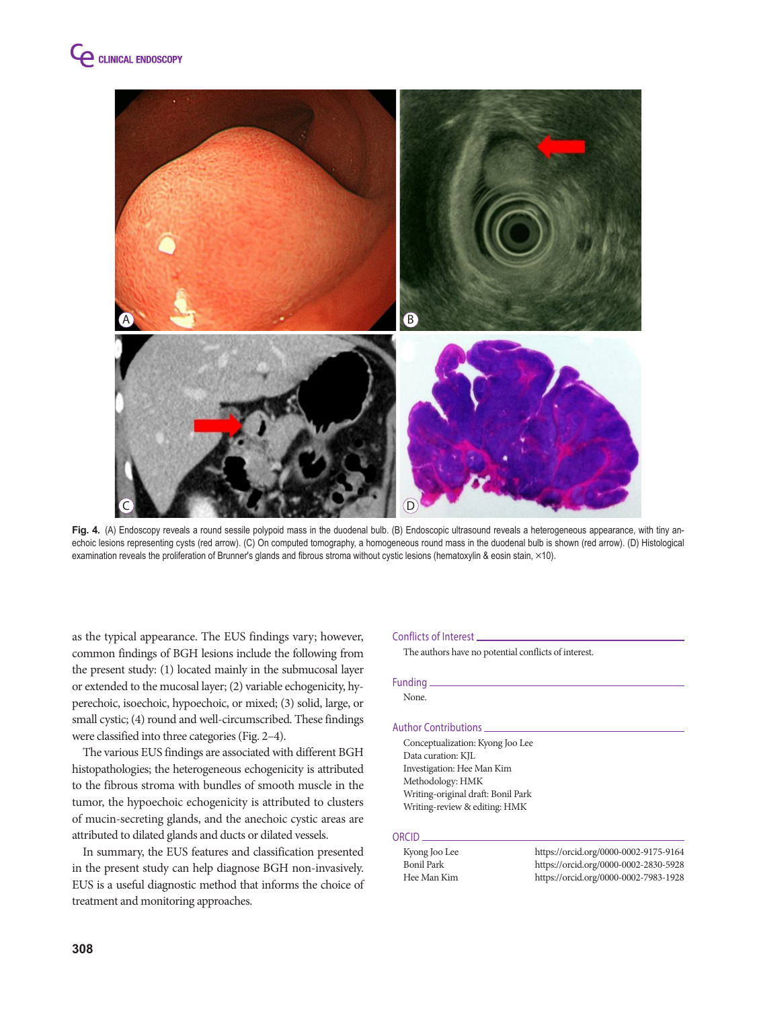

Fig. 4. (A) Endoscopy reveals a round sessile polypoid mass in the duodenal bulb. (B) Endoscopic ultrasound reveals a heterogeneous appearance, with tiny anechoic lesions representing cysts (red arrow). (C) On computed tomography, a homogeneous round mass in the duodenal bulb is shown (red arrow). (D) Histological examination reveals the proliferation of Brunner's glands and fibrous stroma without cystic lesions (hematoxylin & eosin stain, ×10).

as the typical appearance. The EUS findings vary; however, common findings of BGH lesions include the following from the present study: (1) located mainly in the submucosal layer or extended to the mucosal layer; (2) variable echogenicity, hyperechoic, isoechoic, hypoechoic, or mixed; (3) solid, large, or small cystic; (4) round and well-circumscribed. These findings were classified into three categories (Fig. 2–4).

The various EUS findings are associated with different BGH histopathologies; the heterogeneous echogenicity is attributed to the fibrous stroma with bundles of smooth muscle in the tumor, the hypoechoic echogenicity is attributed to clusters of mucin-secreting glands, and the anechoic cystic areas are attributed to dilated glands and ducts or dilated vessels.

In summary, the EUS features and classification presented in the present study can help diagnose BGH non-invasively. EUS is a useful diagnostic method that informs the choice of treatment and monitoring approaches.

#### Conflicts of Interest

The authors have no potential conflicts of interest.

### Funding

None.

#### Author Contributions

Conceptualization: Kyong Joo Lee Data curation: KJL Investigation: Hee Man Kim Methodology: HMK Writing-original draft: Bonil Park Writing-review & editing: HMK

### ORCID

| Kyong Joo Lee | https://orcid.org/0000-0002-9175-9164 |
|---------------|---------------------------------------|
| Bonil Park    | https://orcid.org/0000-0002-2830-5928 |
| Hee Man Kim   | https://orcid.org/0000-0002-7983-1928 |